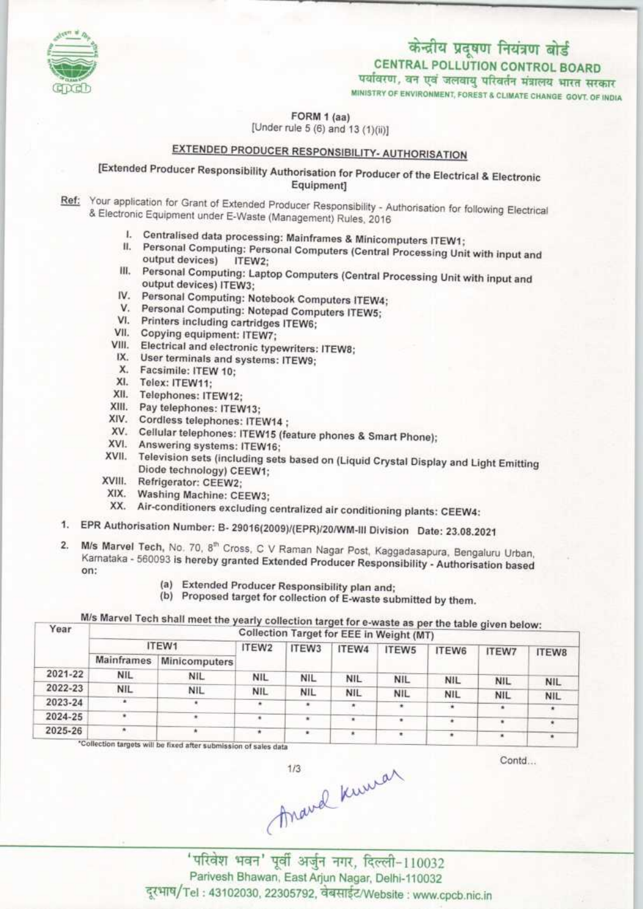

## केन्द्रीय प्रदूषण नियंत्रण बोर्ड CENTRAL POLLUTION CONTROL BOARD<br>पर्यावरण, वन एवं जलवायु परिवर्तन मंत्रालय भारत सरकार

MINISTRY OF ENVIRONMENT, FOREST & CLIMATE CHANGE GOVT. OF INDIA

FORM 1 (aa)

[Under rule  $5(6)$  and  $13(1)(ii)$ ]

## EXTENDED PRODUCER RESPONSIBILITY- AUTHORISATION

[Extended Producer Responsibility Authorisation for Producer of the Electrical & Electronic Equipment1

Ref: Your application for Grant of Extended Producer Responsibility - Authorisation for following Electrical<br>& Electronic Foulnment under E Waste (Massacress) Dublished Catalogue 8 Electronic Equipment under E-Waste (Management) Rules, 2016<br>I. Centralised data processing: Mainframes & Minicomputers ITEW1;

- 
- II. Personal Computing: Personal Computers of Minicomputers ITEW1;<br>II. Personal Computing: Personal Computers (Central Processing Unit with input and output devices) ITEW2;
- output devices) ITEW2;<br>III. Personal Computing: Laptop Computers (Central Processing Unit with Input and output devices) ITEW3;
- IV. Personal Computing: Notebook Computers ITEW4; V. Personal Computing: Notebook Computers ITEW-<br>V. Personal Computing: Notepad Computers ITEW5;
- V. Personal Computing: Notepad Computing Motepad Computing cartridges ITEW6;
- VI. Printers including cartridges ITEW6;<br>VII. Copying equipment: ITEW7;
- 
- VIII. Electrical and electronic typewriters: ITEVW;
- IX. User terminals and systems: ITEW9;<br>X. Facsimile: ITEW 10:
- 
- 
- XI. Telex: ITEW11;<br>XII. Telephones: ITEW12;
- XII. Telephones: ITEW12;<br>XIII. Pay telephones: ITEW<br>XIII. Pay telephones: ITEW
- XIII. Pay telephones: ITEW13;<br>XIV. Cordless telephones: ITEW14;
- XIV. Cordiess telephones: ITEW14 ;<br>XV. Cellular telephones: ITEW15 (feature phones & Smart Phone);
- 
- XVII. Television sets (including sets based on (Liquid Crystal Display and Light Emitting Diode technology) CE
- 
- XVIII. Refrigerator: CEEW2;<br>XIX. Washing Machine: CEEW3;
- (IX. Washing Machine: CEEW3;<br>XX. Air-conditioners excluding centralized air conditioning plants: CEEW4:
- 1. EPR Authorisation Number: B- 29016(2009)/(EPR)/20/WM-IN Division Date: 23.08.2021
- 2. M/s Marvel Tech, No. 70, 8<sup>th</sup> Cross, C V Raman Nagar Post, Kaggadasapura, Bengaluru Urban, Karnataka - 560093 is hereby granted Extended Producer Responsibility - Authorisation based on:
	- (a) Extended Producer Responsibility plan and;
	- (b) Proposed target for collection of E-waste submitted by them.

| Year    | M/s Marvel Tech shall meet the yearly collection target for e-waste as per the table given below:<br>Collection Target for EEE in Weight (MT) |                      |            |            |            |            |            |              |              |  |  |
|---------|-----------------------------------------------------------------------------------------------------------------------------------------------|----------------------|------------|------------|------------|------------|------------|--------------|--------------|--|--|
|         | ITEW1                                                                                                                                         |                      | ITEW2      | ITEW3      | ITEW4      | ITEW5      | ITEW6      | <b>ITEW7</b> | <b>ITEW8</b> |  |  |
|         | <b>Mainframes</b>                                                                                                                             | <b>Minicomputers</b> |            |            |            |            |            |              |              |  |  |
| 2021-22 | <b>NIL</b>                                                                                                                                    | <b>NIL</b>           | <b>NIL</b> | <b>NIL</b> | <b>NIL</b> | <b>NIL</b> | <b>NIL</b> | <b>NIL</b>   | <b>NIL</b>   |  |  |
| 2022-23 | NIL.                                                                                                                                          | <b>NIL</b>           | <b>NIL</b> | <b>NIL</b> | <b>NIL</b> | <b>NIL</b> | <b>NIL</b> | <b>NIL</b>   | <b>NIL</b>   |  |  |
| 2023-24 | ۰                                                                                                                                             |                      |            |            | ۰          | ٠          | ٠          |              |              |  |  |
| 2024-25 |                                                                                                                                               |                      |            | $\star$    | ٠          | ٠          |            |              |              |  |  |
| 2025-26 |                                                                                                                                               |                      | *          |            |            |            |            | $\cdot$      |              |  |  |

irgets will be fixed after submission of sales data

Contd...

 $A^{\mu\nu}$  ( $A^{\mu\nu}$  )  $A^{\mu\nu}$  ( $A^{\mu\nu}$ )  $A^{\mu\nu}$ Parivesh Bhawan, East Arjun Nagar, Delhi-110032 दूरभाष/Tel: 43102030, 22305792, वेबसाईट/Website : www.cpcb.nic.in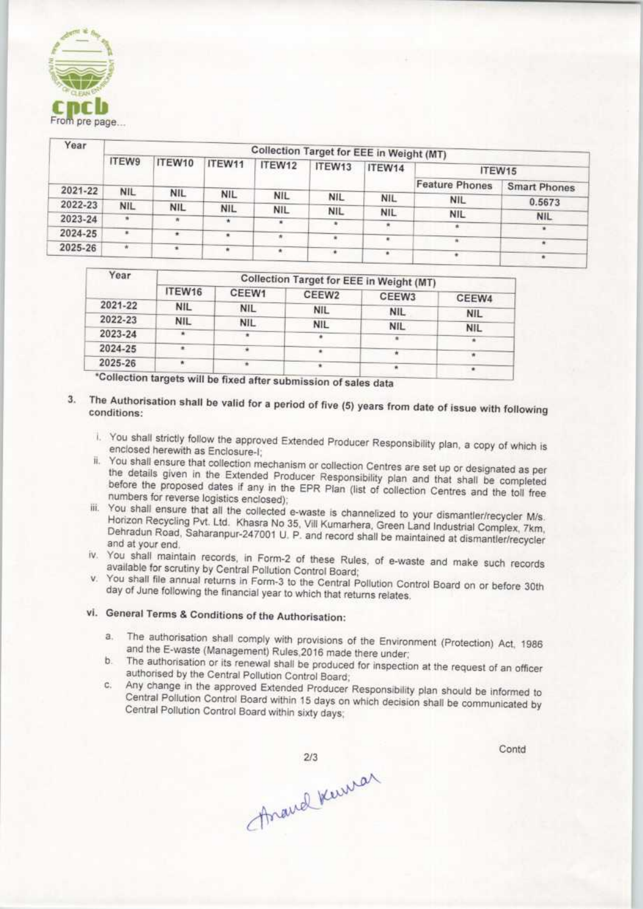

| <b>GLEAN CT</b><br>From pre page |                                          |            |            |            |            |            |                       |                     |  |  |
|----------------------------------|------------------------------------------|------------|------------|------------|------------|------------|-----------------------|---------------------|--|--|
| Year                             | Collection Target for EEE in Weight (MT) |            |            |            |            |            |                       |                     |  |  |
|                                  | ITEW9                                    | ITEW10     | ITEW11     | ITEW12     | ITEW13     | ITEW14     | ITEW15                |                     |  |  |
| 2021-22                          |                                          |            |            |            |            |            | <b>Feature Phones</b> | <b>Smart Phones</b> |  |  |
|                                  | <b>NIL</b>                               | <b>NIL</b> | <b>NIL</b> | <b>NIL</b> | <b>NIL</b> | <b>NIL</b> | <b>NIL</b>            | 0.5673              |  |  |
| 2022-23                          | <b>NIL</b>                               | <b>NIL</b> | <b>NIL</b> | <b>NIL</b> | <b>NIL</b> | <b>NIL</b> |                       |                     |  |  |
| 2023-24                          | ٠                                        | ۸          | $\star$    | ٠          | ٠          |            | <b>NIL</b>            | <b>NIL</b>          |  |  |
| 2024-25                          | $\cdot$                                  | ٠          | ٠          |            |            |            | $\star$               | ٠                   |  |  |
|                                  |                                          |            |            | $\star$    | ٠          | $\bullet$  | $\alpha$              | ٠                   |  |  |
| 2025-26                          | ŵ.                                       | $\cdot$    |            | $\pm$      | w.         | ٠          |                       | ٠                   |  |  |

| Year    | <b>Collection Target for EEE in Weight (MT)</b> |                   |            |            |                 |  |  |  |
|---------|-------------------------------------------------|-------------------|------------|------------|-----------------|--|--|--|
|         | ITEW16                                          | CEEW <sub>1</sub> | CEEW2      | CEEW3      | CEEW4           |  |  |  |
| 2021-22 | <b>NIL</b>                                      | <b>NIL</b>        | <b>NIL</b> | <b>NIL</b> | <b>NIL</b>      |  |  |  |
| 2022-23 | <b>NIL</b>                                      | NIL.              | <b>NIL</b> | <b>NIL</b> |                 |  |  |  |
| 2023-24 |                                                 |                   |            |            | <b>NIL</b><br>٠ |  |  |  |
| 2024-25 |                                                 |                   |            |            |                 |  |  |  |
| 2025-26 |                                                 |                   |            |            | 市               |  |  |  |
|         |                                                 |                   |            |            |                 |  |  |  |

\*Collection targets will be fixed after submission of sales data

- 3. The Authorisation shall be valid for a period of five (5) years from date of issue with following conditions:
	- i. You shall strictly follow the approved Extended Producer Responsibility plan, a copy of which is enclosed herewith as Enclosure-I;
	- ii. You shall ensure that collection mechanism or collection Centres are set up or designated as per<br>the details given in the Extended Producer Responsibility plan and that shall be completed before the proposed dates if any in the EPR Plan (list of collection Centres and the toll free numbers tor reverse logistics enclosed);
	- iii. You shall ensure that all the collected e-waste is channelized to your dismantler/recycler M/s. Horizon Recycling Put. Ltd. Khasra No 35, VIII Kumarhera. Green Land Industrial Complex, 7km. Dehradun Road, Saharanpur-247001 U. P. and record shall be maintained at dismantler/recycler and at your end.
	- tv. You shall maintain records, in Form-2 of these Rules, of e-waste and make such records available for scrutiny by Central Pollution Control Board;
	- v. You shall file annual returns in Form-3 to the Central Pollution Control Board on or before 30th day of June following the financial year to which that returns relates.

## vi. General Terms & Conditions of the Authorisation:

- a. The authorisation shall comply with provisions of the Environment (Protection) Act. 1986 and the E-waste (Management) Rules.2016 made there under;
- The authorisation or its renewal shall be produced for inspection at the request of an officer b. authorised by the Central Pollution Control Board;
- inge in the approved Extended Producer Responsibility plan should be informed to ed by the Central Pollution Control Board;<br>Inge in the approved Extended Producer Responsibility plan should be informed<br>Pollution Control Board within 15 days on which decision shall be communicated i

Anand Kuman

 $2/3$ 

Contd